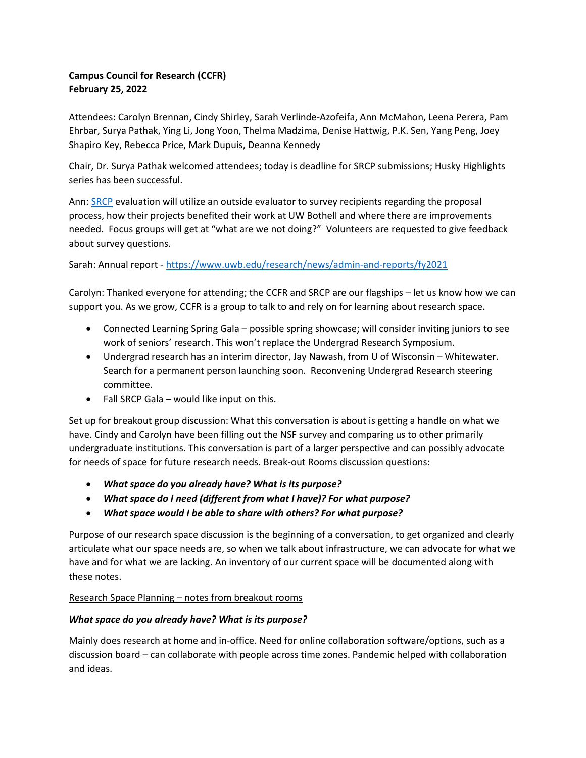# Campus Council for Research (CCFR) February 25, 2022

Attendees: Carolyn Brennan, Cindy Shirley, Sarah Verlinde-Azofeifa, Ann McMahon, Leena Perera, Pam Ehrbar, Surya Pathak, Ying Li, Jong Yoon, Thelma Madzima, Denise Hattwig, P.K. Sen, Yang Peng, Joey Shapiro Key, Rebecca Price, Mark Dupuis, Deanna Kennedy

Chair, Dr. Surya Pathak welcomed attendees; today is deadline for SRCP submissions; Husky Highlights series has been successful.

Ann: SRCP evaluation will utilize an outside evaluator to survey recipients regarding the proposal process, how their projects benefited their work at UW Bothell and where there are improvements needed. Focus groups will get at "what are we not doing?" Volunteers are requested to give feedback about survey questions.

Sarah: Annual report - https://www.uwb.edu/research/news/admin-and-reports/fy2021

Carolyn: Thanked everyone for attending; the CCFR and SRCP are our flagships – let us know how we can support you. As we grow, CCFR is a group to talk to and rely on for learning about research space.

- Connected Learning Spring Gala possible spring showcase; will consider inviting juniors to see work of seniors' research. This won't replace the Undergrad Research Symposium.
- Undergrad research has an interim director, Jay Nawash, from U of Wisconsin Whitewater. Search for a permanent person launching soon. Reconvening Undergrad Research steering committee.
- Fall SRCP Gala would like input on this.

Set up for breakout group discussion: What this conversation is about is getting a handle on what we have. Cindy and Carolyn have been filling out the NSF survey and comparing us to other primarily undergraduate institutions. This conversation is part of a larger perspective and can possibly advocate for needs of space for future research needs. Break-out Rooms discussion questions:

- What space do you already have? What is its purpose?
- What space do I need (different from what I have)? For what purpose?
- What space would I be able to share with others? For what purpose?

Purpose of our research space discussion is the beginning of a conversation, to get organized and clearly articulate what our space needs are, so when we talk about infrastructure, we can advocate for what we have and for what we are lacking. An inventory of our current space will be documented along with these notes.

## Research Space Planning – notes from breakout rooms

## What space do you already have? What is its purpose?

Mainly does research at home and in-office. Need for online collaboration software/options, such as a discussion board – can collaborate with people across time zones. Pandemic helped with collaboration and ideas.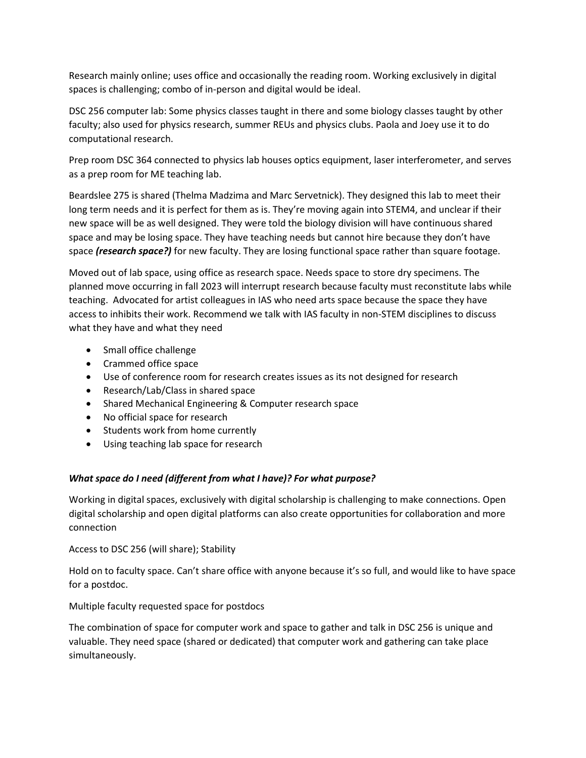Research mainly online; uses office and occasionally the reading room. Working exclusively in digital spaces is challenging; combo of in-person and digital would be ideal.

DSC 256 computer lab: Some physics classes taught in there and some biology classes taught by other faculty; also used for physics research, summer REUs and physics clubs. Paola and Joey use it to do computational research.

Prep room DSC 364 connected to physics lab houses optics equipment, laser interferometer, and serves as a prep room for ME teaching lab.

Beardslee 275 is shared (Thelma Madzima and Marc Servetnick). They designed this lab to meet their long term needs and it is perfect for them as is. They're moving again into STEM4, and unclear if their new space will be as well designed. They were told the biology division will have continuous shared space and may be losing space. They have teaching needs but cannot hire because they don't have space (research space?) for new faculty. They are losing functional space rather than square footage.

Moved out of lab space, using office as research space. Needs space to store dry specimens. The planned move occurring in fall 2023 will interrupt research because faculty must reconstitute labs while teaching. Advocated for artist colleagues in IAS who need arts space because the space they have access to inhibits their work. Recommend we talk with IAS faculty in non-STEM disciplines to discuss what they have and what they need

- Small office challenge
- Crammed office space
- Use of conference room for research creates issues as its not designed for research
- Research/Lab/Class in shared space
- Shared Mechanical Engineering & Computer research space
- No official space for research
- Students work from home currently
- Using teaching lab space for research

## What space do I need (different from what I have)? For what purpose?

Working in digital spaces, exclusively with digital scholarship is challenging to make connections. Open digital scholarship and open digital platforms can also create opportunities for collaboration and more connection

Access to DSC 256 (will share); Stability

Hold on to faculty space. Can't share office with anyone because it's so full, and would like to have space for a postdoc.

Multiple faculty requested space for postdocs

The combination of space for computer work and space to gather and talk in DSC 256 is unique and valuable. They need space (shared or dedicated) that computer work and gathering can take place simultaneously.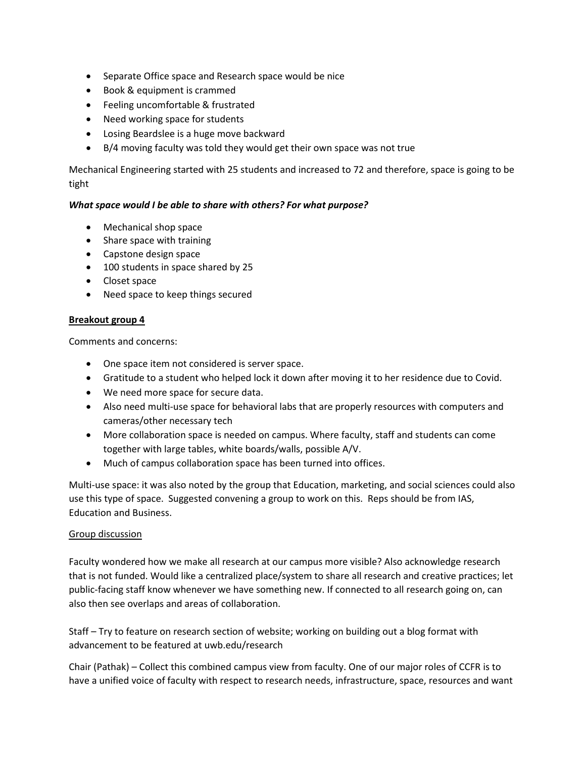- Separate Office space and Research space would be nice
- Book & equipment is crammed
- Feeling uncomfortable & frustrated
- Need working space for students
- Losing Beardslee is a huge move backward
- B/4 moving faculty was told they would get their own space was not true

Mechanical Engineering started with 25 students and increased to 72 and therefore, space is going to be tight

### What space would I be able to share with others? For what purpose?

- Mechanical shop space
- Share space with training
- Capstone design space
- 100 students in space shared by 25
- Closet space
- Need space to keep things secured

### Breakout group 4

Comments and concerns:

- One space item not considered is server space.
- Gratitude to a student who helped lock it down after moving it to her residence due to Covid.
- We need more space for secure data.
- Also need multi-use space for behavioral labs that are properly resources with computers and cameras/other necessary tech
- More collaboration space is needed on campus. Where faculty, staff and students can come together with large tables, white boards/walls, possible A/V.
- Much of campus collaboration space has been turned into offices.

Multi-use space: it was also noted by the group that Education, marketing, and social sciences could also use this type of space. Suggested convening a group to work on this. Reps should be from IAS, Education and Business.

### Group discussion

Faculty wondered how we make all research at our campus more visible? Also acknowledge research that is not funded. Would like a centralized place/system to share all research and creative practices; let public-facing staff know whenever we have something new. If connected to all research going on, can also then see overlaps and areas of collaboration.

Staff – Try to feature on research section of website; working on building out a blog format with advancement to be featured at uwb.edu/research

Chair (Pathak) – Collect this combined campus view from faculty. One of our major roles of CCFR is to have a unified voice of faculty with respect to research needs, infrastructure, space, resources and want